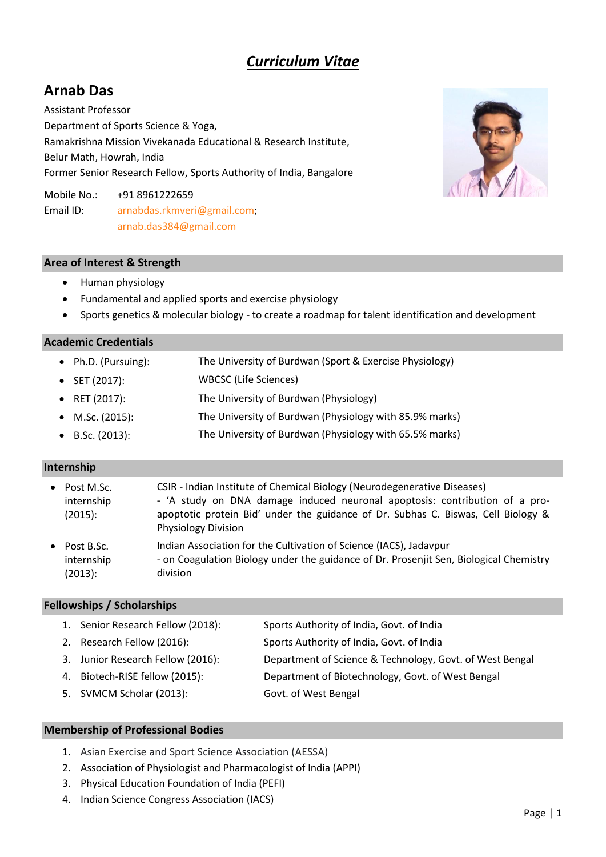# *Curriculum Vitae*

# **Arnab Das**

Assistant Professor Department of Sports Science & Yoga, Ramakrishna Mission Vivekanada Educational & Research Institute, Belur Math, Howrah, India Former Senior Research Fellow, Sports Authority of India, Bangalore

Mobile No.: +91 8961222659 Email ID: [arnabdas.rkmveri@gmail.com;](mailto:arnabdas.rkmveri@gmail.com) [arnab.das384@gmail.com](mailto:arnab.das384@gmail.com)

# **Area of Interest & Strength**

- Human physiology
- Fundamental and applied sports and exercise physiology
- Sports genetics & molecular biology to create a roadmap for talent identification and development

# **Academic Credentials**

• Ph.D. (Pursuing): The University of Burdwan (Sport & Exercise Physiology) SET (2017): WBCSC (Life Sciences) RET (2017): The University of Burdwan (Physiology) M.Sc. (2015): The University of Burdwan (Physiology with 85.9% marks) B.Sc. (2013): The University of Burdwan (Physiology with 65.5% marks)

# **Internship**

• Post M.Sc. internship (2015): CSIR - Indian Institute of Chemical Biology (Neurodegenerative Diseases) - 'A study on DNA damage induced neuronal apoptosis: contribution of a proapoptotic protein Bid' under the guidance of Dr. Subhas C. Biswas, Cell Biology & Physiology Division • Post B.Sc. internship (2013): Indian Association for the Cultivation of Science (IACS), Jadavpur - on Coagulation Biology under the guidance of Dr. Prosenjit Sen, Biological Chemistry division

# **Fellowships / Scholarships**

| 1. Senior Research Fellow (2018): | Sports Authority of India, Govt. of India                |
|-----------------------------------|----------------------------------------------------------|
| 2. Research Fellow (2016):        | Sports Authority of India, Govt. of India                |
| 3. Junior Research Fellow (2016): | Department of Science & Technology, Govt. of West Bengal |
| 4. Biotech-RISE fellow (2015):    | Department of Biotechnology, Govt. of West Bengal        |
| 5. SVMCM Scholar (2013):          | Govt. of West Bengal                                     |

# **Membership of Professional Bodies**

- 1. Asian Exercise and Sport Science Association (AESSA)
- 2. Association of Physiologist and Pharmacologist of India (APPI)
- 3. Physical Education Foundation of India (PEFI)
- 4. Indian Science Congress Association (IACS)

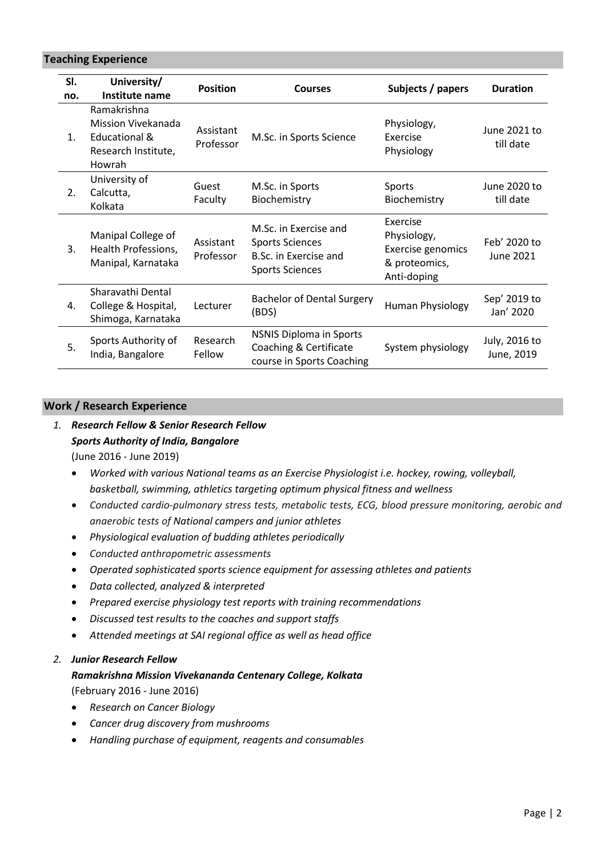**Teaching Experience**

| SI.<br>no.     | University/<br>Institute name                                                                  | <b>Position</b>        | <b>Courses</b>                                                                                     | Subjects / papers                                                            | <b>Duration</b>             |
|----------------|------------------------------------------------------------------------------------------------|------------------------|----------------------------------------------------------------------------------------------------|------------------------------------------------------------------------------|-----------------------------|
| 1 <sub>1</sub> | Ramakrishna<br>Mission Vivekanada<br><b>Educational &amp;</b><br>Research Institute,<br>Howrah | Assistant<br>Professor | M.Sc. in Sports Science                                                                            | Physiology,<br>Exercise<br>Physiology                                        | June 2021 to<br>till date   |
| 2.             | University of<br>Calcutta,<br>Kolkata                                                          | Guest<br>Faculty       | M.Sc. in Sports<br>Biochemistry                                                                    | Sports<br>Biochemistry                                                       | June 2020 to<br>till date   |
| 3.             | Manipal College of<br>Health Professions,<br>Manipal, Karnataka                                | Assistant<br>Professor | M.Sc. in Exercise and<br><b>Sports Sciences</b><br>B.Sc. in Exercise and<br><b>Sports Sciences</b> | Exercise<br>Physiology,<br>Exercise genomics<br>& proteomics,<br>Anti-doping | Feb' 2020 to<br>June 2021   |
| 4.             | Sharavathi Dental<br>College & Hospital,<br>Shimoga, Karnataka                                 | Lecturer               | <b>Bachelor of Dental Surgery</b><br>(BDS)                                                         | Human Physiology                                                             | Sep' 2019 to<br>Jan' 2020   |
| 5.             | Sports Authority of<br>India, Bangalore                                                        | Research<br>Fellow     | <b>NSNIS Diploma in Sports</b><br>Coaching & Certificate<br>course in Sports Coaching              | System physiology                                                            | July, 2016 to<br>June, 2019 |

#### **Work / Research Experience**

# *1. Research Fellow & Senior Research Fellow Sports Authority of India, Bangalore* (June 2016 - June 2019)

- *Worked with various National teams as an Exercise Physiologist i.e. hockey, rowing, volleyball, basketball, swimming, athletics targeting optimum physical fitness and wellness*
- *Conducted cardio-pulmonary stress tests, metabolic tests, ECG, blood pressure monitoring, aerobic and anaerobic tests of National campers and junior athletes*
- *Physiological evaluation of budding athletes periodically*
- *Conducted anthropometric assessments*
- *Operated sophisticated sports science equipment for assessing athletes and patients*
- *Data collected, analyzed & interpreted*
- *Prepared exercise physiology test reports with training recommendations*
- *Discussed test results to the coaches and support staffs*
- *Attended meetings at SAI regional office as well as head office*

# *2. Junior Research Fellow*

# *Ramakrishna Mission Vivekananda Centenary College, Kolkata*

(February 2016 - June 2016)

- *Research on Cancer Biology*
- *Cancer drug discovery from mushrooms*
- *Handling purchase of equipment, reagents and consumables*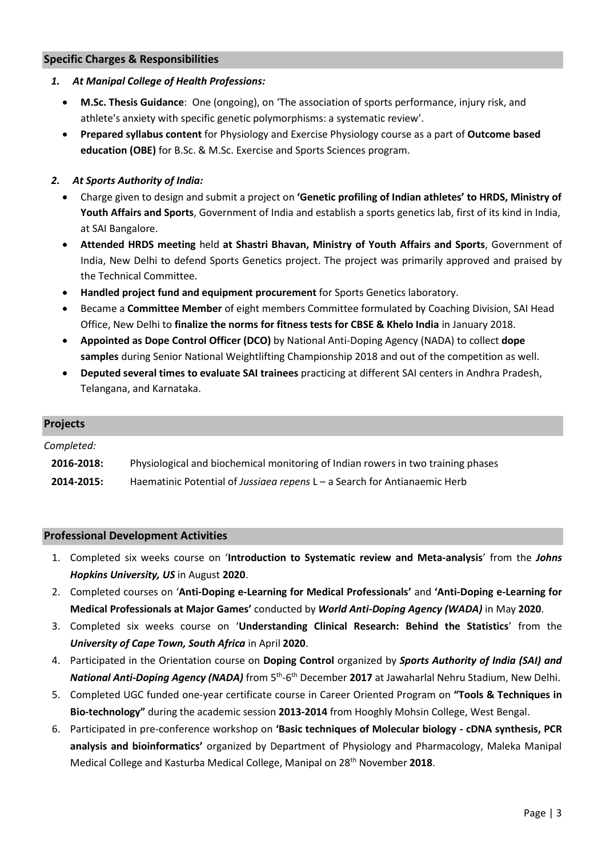#### **Specific Charges & Responsibilities**

#### *1. At Manipal College of Health Professions:*

- **M.Sc. Thesis Guidance**: One (ongoing), on 'The association of sports performance, injury risk, and athlete's anxiety with specific genetic polymorphisms: a systematic review'.
- **Prepared syllabus content** for Physiology and Exercise Physiology course as a part of **Outcome based education (OBE)** for B.Sc. & M.Sc. Exercise and Sports Sciences program.

# *2. At Sports Authority of India:*

- Charge given to design and submit a project on **'Genetic profiling of Indian athletes' to HRDS, Ministry of Youth Affairs and Sports**, Government of India and establish a sports genetics lab, first of its kind in India, at SAI Bangalore.
- **Attended HRDS meeting** held **at Shastri Bhavan, Ministry of Youth Affairs and Sports**, Government of India, New Delhi to defend Sports Genetics project. The project was primarily approved and praised by the Technical Committee.
- **Handled project fund and equipment procurement** for Sports Genetics laboratory.
- Became a **Committee Member** of eight members Committee formulated by Coaching Division, SAI Head Office, New Delhi to **finalize the norms for fitness tests for CBSE & Khelo India** in January 2018.
- **Appointed as Dope Control Officer (DCO)** by National Anti-Doping Agency (NADA) to collect **dope samples** during Senior National Weightlifting Championship 2018 and out of the competition as well.
- **Deputed several times to evaluate SAI trainees** practicing at different SAI centers in Andhra Pradesh, Telangana, and Karnataka.

#### **Projects**

*Completed:*

| 2016-2018: | Physiological and biochemical monitoring of Indian rowers in two training phases |
|------------|----------------------------------------------------------------------------------|
| --------   |                                                                                  |

**2014-2015:** Haematinic Potential of *Jussiaea repens* L – a Search for Antianaemic Herb

#### **Professional Development Activities**

- 1. Completed six weeks course on '**Introduction to Systematic review and Meta-analysis**' from the *Johns Hopkins University, US* in August **2020**.
- 2. Completed courses on '**Anti-Doping e-Learning for Medical Professionals'** and **'Anti-Doping e-Learning for Medical Professionals at Major Games'** conducted by *World Anti-Doping Agency (WADA)* in May **2020**.
- 3. Completed six weeks course on '**Understanding Clinical Research: Behind the Statistics**' from the *University of Cape Town, South Africa* in April **2020**.
- 4. Participated in the Orientation course on **Doping Control** organized by *Sports Authority of India (SAI) and*  National Anti-Doping Agency (NADA) from 5<sup>th</sup>-6<sup>th</sup> December 2017 at Jawaharlal Nehru Stadium, New Delhi.
- 5. Completed UGC funded one-year certificate course in Career Oriented Program on **"Tools & Techniques in Bio-technology"** during the academic session **2013-2014** from Hooghly Mohsin College, West Bengal.
- 6. Participated in pre-conference workshop on **'Basic techniques of Molecular biology - cDNA synthesis, PCR analysis and bioinformatics'** organized by Department of Physiology and Pharmacology, Maleka Manipal Medical College and Kasturba Medical College, Manipal on 28th November **2018**.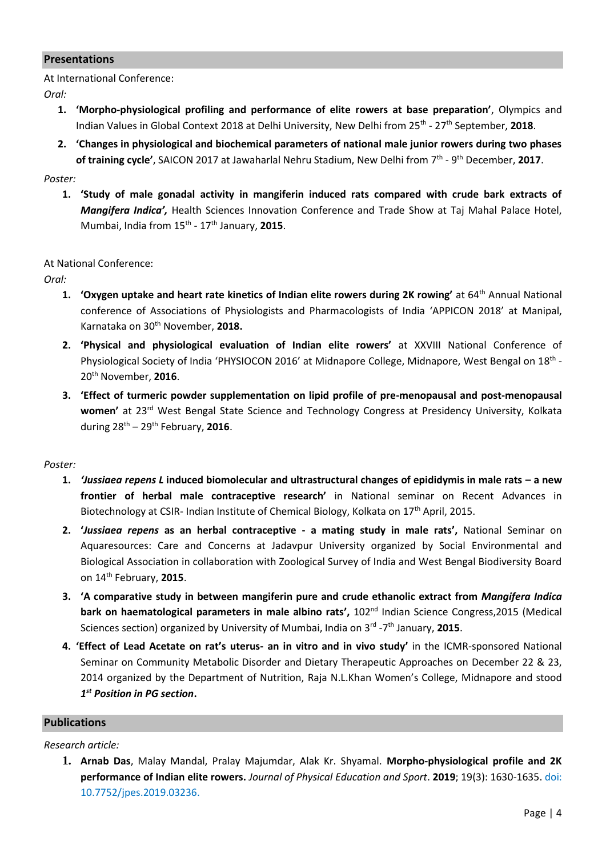#### **Presentations**

At International Conference:

*Oral:*

- **1. 'Morpho-physiological profiling and performance of elite rowers at base preparation'**, Olympics and Indian Values in Global Context 2018 at Delhi University, New Delhi from 25<sup>th</sup> - 27<sup>th</sup> September, 2018.
- **2. 'Changes in physiological and biochemical parameters of national male junior rowers during two phases of training cycle'**, SAICON 2017 at Jawaharlal Nehru Stadium, New Delhi from 7<sup>th</sup> - 9<sup>th</sup> December, 2017.

*Poster:*

**1. 'Study of male gonadal activity in mangiferin induced rats compared with crude bark extracts of**  *Mangifera Indica',* Health Sciences Innovation Conference and Trade Show at Taj Mahal Palace Hotel, Mumbai, India from 15th - 17th January, **2015**.

At National Conference:

*Oral:*

- **1. 'Oxygen uptake and heart rate kinetics of Indian elite rowers during 2K rowing' at 64<sup>th</sup> Annual National** conference of Associations of Physiologists and Pharmacologists of India 'APPICON 2018' at Manipal, Karnataka on 30th November, **2018.**
- **2. 'Physical and physiological evaluation of Indian elite rowers'** at XXVIII National Conference of Physiological Society of India 'PHYSIOCON 2016' at Midnapore College, Midnapore, West Bengal on 18<sup>th</sup> -20 th November, **2016**.
- **3. 'Effect of turmeric powder supplementation on lipid profile of pre-menopausal and post-menopausal women'** at 23rd West Bengal State Science and Technology Congress at Presidency University, Kolkata during 28th – 29th February, **2016**.

#### *Poster:*

- **1.** *'Jussiaea repens L* **induced biomolecular and ultrastructural changes of epididymis in male rats – a new frontier of herbal male contraceptive research'** in National seminar on Recent Advances in Biotechnology at CSIR- Indian Institute of Chemical Biology, Kolkata on 17<sup>th</sup> April, 2015.
- **2. '***Jussiaea repens* **as an herbal contraceptive - a mating study in male rats',** National Seminar on Aquaresources: Care and Concerns at Jadavpur University organized by Social Environmental and Biological Association in collaboration with Zoological Survey of India and West Bengal Biodiversity Board on 14th February, **2015**.
- **3. 'A comparative study in between mangiferin pure and crude ethanolic extract from** *Mangifera Indica* **bark on haematological parameters in male albino rats',** 102nd Indian Science Congress,2015 (Medical Sciences section) organized by University of Mumbai, India on 3<sup>rd</sup> -7<sup>th</sup> January, **2015**.
- **4. 'Effect of Lead Acetate on rat's uterus- an in vitro and in vivo study'** in the ICMR-sponsored National Seminar on Community Metabolic Disorder and Dietary Therapeutic Approaches on December 22 & 23, 2014 organized by the Department of Nutrition, Raja N.L.Khan Women's College, Midnapore and stood *1 st Position in PG section***.**

# **Publications**

#### *Research article:*

**1. Arnab Das**, Malay Mandal, Pralay Majumdar, Alak Kr. Shyamal. **Morpho-physiological profile and 2K performance of Indian elite rowers.** *Journal of Physical Education and Sport*. **2019**; 19(3): 1630-1635. doi: 10.7752/jpes.2019.03236.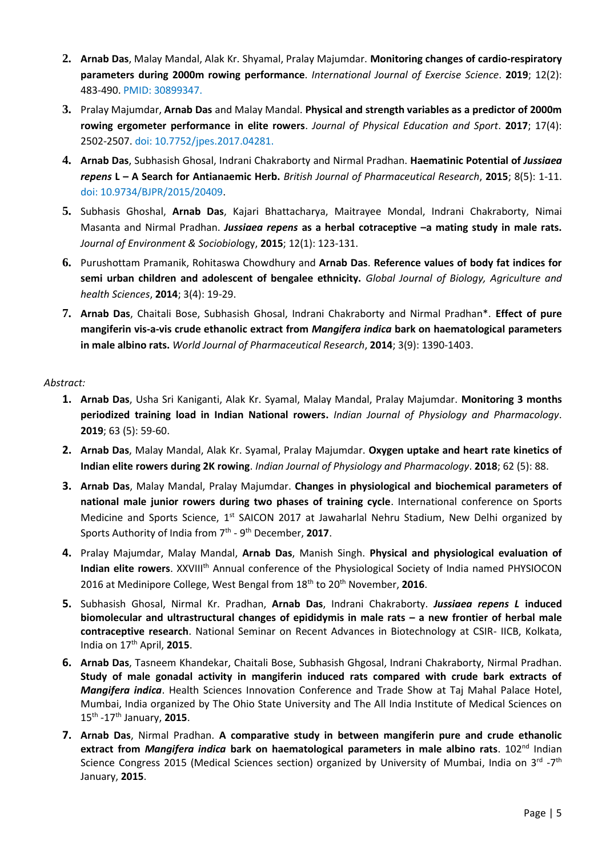- **2. Arnab Das**, Malay Mandal, Alak Kr. Shyamal, Pralay Majumdar. **Monitoring changes of cardio-respiratory parameters during 2000m rowing performance**. *International Journal of Exercise Science*. **2019**; 12(2): 483-490. PMID: 30899347.
- **3.** Pralay Majumdar, **Arnab Das** and Malay Mandal. **Physical and strength variables as a predictor of 2000m rowing ergometer performance in elite rowers**. *Journal of Physical Education and Sport*. **2017**; 17(4): 2502-2507. doi: 10.7752/jpes.2017.04281.
- **4. Arnab Das**, Subhasish Ghosal, Indrani Chakraborty and Nirmal Pradhan. **Haematinic Potential of** *Jussiaea repens* **L – A Search for Antianaemic Herb.** *British Journal of Pharmaceutical Research*, **2015**; 8(5): 1-11. doi: 10.9734/BJPR/2015/20409.
- **5.** Subhasis Ghoshal, **Arnab Das**, Kajari Bhattacharya, Maitrayee Mondal, Indrani Chakraborty, Nimai Masanta and Nirmal Pradhan. *Jussiaea repens* **as a herbal cotraceptive –a mating study in male rats.** *Journal of Environment & Sociobiol*ogy, **2015**; 12(1): 123-131.
- **6.** Purushottam Pramanik, Rohitaswa Chowdhury and **Arnab Das**. **Reference values of body fat indices for semi urban children and adolescent of bengalee ethnicity.** *Global Journal of Biology, Agriculture and health Sciences*, **2014**; 3(4): 19-29.
- **7. Arnab Das**, Chaitali Bose, Subhasish Ghosal, Indrani Chakraborty and Nirmal Pradhan\*. **Effect of pure mangiferin vis-a-vis crude ethanolic extract from** *Mangifera indica* **bark on haematological parameters in male albino rats.** *World Journal of Pharmaceutical Research*, **2014**; 3(9): 1390-1403.

# *Abstract:*

- **1. Arnab Das**, Usha Sri Kaniganti, Alak Kr. Syamal, Malay Mandal, Pralay Majumdar. **Monitoring 3 months periodized training load in Indian National rowers.** *Indian Journal of Physiology and Pharmacology*. **2019**; 63 (5): 59-60.
- **2. Arnab Das**, Malay Mandal, Alak Kr. Syamal, Pralay Majumdar. **Oxygen uptake and heart rate kinetics of Indian elite rowers during 2K rowing**. *Indian Journal of Physiology and Pharmacology*. **2018**; 62 (5): 88.
- **3. Arnab Das**, Malay Mandal, Pralay Majumdar. **Changes in physiological and biochemical parameters of national male junior rowers during two phases of training cycle**. International conference on Sports Medicine and Sports Science, 1<sup>st</sup> SAICON 2017 at Jawaharlal Nehru Stadium, New Delhi organized by Sports Authority of India from 7<sup>th</sup> - 9<sup>th</sup> December, 2017.
- **4.** Pralay Majumdar, Malay Mandal, **Arnab Das**, Manish Singh. **Physical and physiological evaluation of Indian elite rowers.** XXVIII<sup>th</sup> Annual conference of the Physiological Society of India named PHYSIOCON 2016 at Medinipore College, West Bengal from 18th to 20th November, **2016**.
- **5.** Subhasish Ghosal, Nirmal Kr. Pradhan, **Arnab Das**, Indrani Chakraborty. *Jussiaea repens L* **induced biomolecular and ultrastructural changes of epididymis in male rats – a new frontier of herbal male contraceptive research**. National Seminar on Recent Advances in Biotechnology at CSIR- IICB, Kolkata, India on 17th April, **2015**.
- **6. Arnab Das**, Tasneem Khandekar, Chaitali Bose, Subhasish Ghgosal, Indrani Chakraborty, Nirmal Pradhan. **Study of male gonadal activity in mangiferin induced rats compared with crude bark extracts of**  *Mangifera indica*. Health Sciences Innovation Conference and Trade Show at Taj Mahal Palace Hotel, Mumbai, India organized by The Ohio State University and The All India Institute of Medical Sciences on 15th -17th January, **2015**.
- **7. Arnab Das**, Nirmal Pradhan. **A comparative study in between mangiferin pure and crude ethanolic extract from** *Mangifera indica* **bark on haematological parameters in male albino rats**. 102nd Indian Science Congress 2015 (Medical Sciences section) organized by University of Mumbai, India on 3<sup>rd</sup> -7<sup>th</sup> January, **2015**.